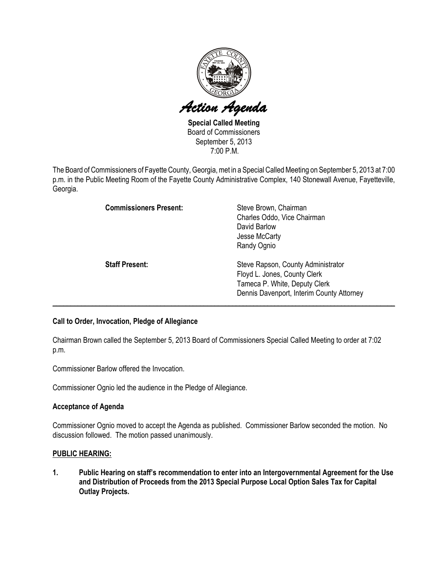

Special Called Meeting Board of Commissioners September 5, 2013 7:00 P.M.

The Board of Commissioners of Fayette County, Georgia, met in a Special Called Meeting on September 5, 2013 at 7:00 p.m. in the Public Meeting Room of the Fayette County Administrative Complex, 140 Stonewall Avenue, Fayetteville, Georgia.

| <b>Commissioners Present:</b> | Steve Brown, Chairman<br>Charles Oddo, Vice Chairman<br>David Barlow<br>Jesse McCarty<br>Randy Ognio                                             |
|-------------------------------|--------------------------------------------------------------------------------------------------------------------------------------------------|
| <b>Staff Present:</b>         | Steve Rapson, County Administrator<br>Floyd L. Jones, County Clerk<br>Tameca P. White, Deputy Clerk<br>Dennis Davenport, Interim County Attorney |

# Call to Order, Invocation, Pledge of Allegiance

Chairman Brown called the September 5, 2013 Board of Commissioners Special Called Meeting to order at 7:02 p.m.

Commissioner Barlow offered the Invocation.

Commissioner Ognio led the audience in the Pledge of Allegiance.

### Acceptance of Agenda

Commissioner Ognio moved to accept the Agenda as published. Commissioner Barlow seconded the motion. No discussion followed. The motion passed unanimously.

### PUBLIC HEARING:

1. Public Hearing on staff's recommendation to enter into an Intergovernmental Agreement for the Use and Distribution of Proceeds from the 2013 Special Purpose Local Option Sales Tax for Capital Outlay Projects.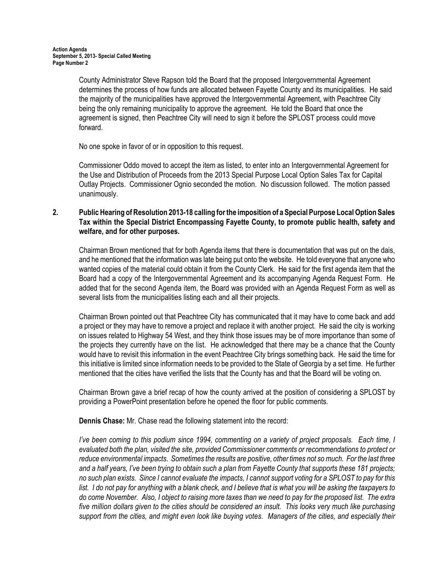County Administrator Steve Rapson told the Board that the proposed Intergovernmental Agreement determines the process of how funds are allocated between Fayette County and its municipalities. He said the majority of the municipalities have approved the Intergovernmental Agreement, with Peachtree City being the only remaining municipality to approve the agreement. He told the Board that once the agreement is signed, then Peachtree City will need to sign it before the SPLOST process could move forward.

No one spoke in favor of or in opposition to this request.

Commissioner Oddo moved to accept the item as listed, to enter into an Intergovernmental Agreement for the Use and Distribution of Proceeds from the 2013 Special Purpose Local Option Sales Tax for Capital Outlay Projects. Commissioner Ognio seconded the motion. No discussion followed. The motion passed unanimously.

## 2. Public Hearing of Resolution 2013-18 calling for the imposition of a Special Purpose Local Option Sales Tax within the Special District Encompassing Fayette County, to promote public health, safety and welfare, and for other purposes.

Chairman Brown mentioned that for both Agenda items that there is documentation that was put on the dais, and he mentioned that the information was late being put onto the website. He told everyone that anyone who wanted copies of the material could obtain it from the County Clerk. He said for the first agenda item that the Board had a copy of the Intergovernmental Agreement and its accompanying Agenda Request Form. He added that for the second Agenda item, the Board was provided with an Agenda Request Form as well as several lists from the municipalities listing each and all their projects.

Chairman Brown pointed out that Peachtree City has communicated that it may have to come back and add a project or they may have to remove a project and replace it with another project. He said the city is working on issues related to Highway 54 West, and they think those issues may be of more importance than some of the projects they currently have on the list. He acknowledged that there may be a chance that the County would have to revisit this information in the event Peachtree City brings something back. He said the time for this initiative is limited since information needs to be provided to the State of Georgia by a set time. He further mentioned that the cities have verified the lists that the County has and that the Board will be voting on.

Chairman Brown gave a brief recap of how the county arrived at the position of considering a SPLOST by providing a PowerPoint presentation before he opened the floor for public comments.

Dennis Chase: Mr. Chase read the following statement into the record:

I've been coming to this podium since 1994, commenting on a variety of project proposals. Each time, I evaluated both the plan, visited the site, provided Commissioner comments or recommendations to protect or reduce environmental impacts. Sometimes the results are positive, other times not so much. For the last three and a half years, I've been trying to obtain such a plan from Fayette County that supports these 181 projects; no such plan exists. Since I cannot evaluate the impacts, I cannot support voting for a SPLOST to pay for this list. I do not pay for anything with a blank check, and I believe that is what you will be asking the taxpayers to do come November. Also, I object to raising more taxes than we need to pay for the proposed list. The extra five million dollars given to the cities should be considered an insult. This looks very much like purchasing support from the cities, and might even look like buying votes. Managers of the cities, and especially their